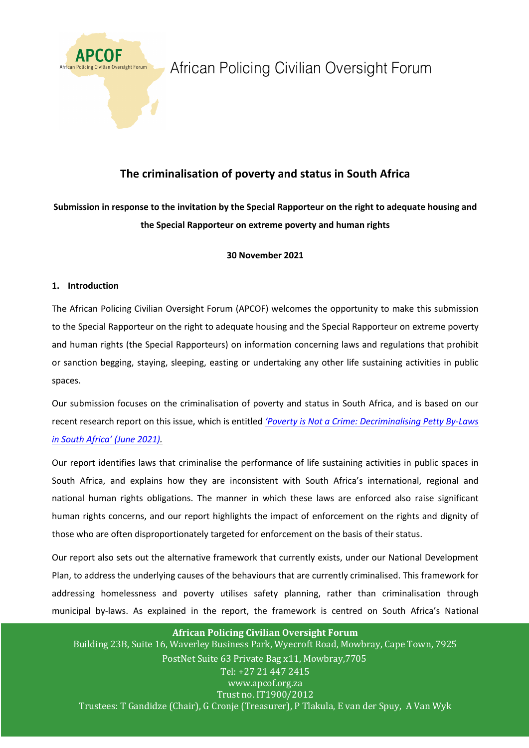

# African Policing Civilian Oversight Forum

# **The criminalisation of poverty and status in South Africa**

# **Submission in response to the invitation by the Special Rapporteur on the right to adequate housing and the Special Rapporteur on extreme poverty and human rights**

### **30 November 2021**

### **1. Introduction**

The African Policing Civilian Oversight Forum (APCOF) welcomes the opportunity to make this submission to the Special Rapporteur on the right to adequate housing and the Special Rapporteur on extreme poverty and human rights (the Special Rapporteurs) on information concerning laws and regulations that prohibit or sanction begging, staying, sleeping, easting or undertaking any other life sustaining activities in public spaces.

Our submission focuses on the criminalisation of poverty and status in South Africa, and is based on our recent research report on this issue, which is entitled *'Poverty is Not a Crime: Decriminalising Petty By-Laws in South Africa' (June 2021).*

Our report identifies laws that criminalise the performance of life sustaining activities in public spaces in South Africa, and explains how they are inconsistent with South Africa's international, regional and national human rights obligations. The manner in which these laws are enforced also raise significant human rights concerns, and our report highlights the impact of enforcement on the rights and dignity of those who are often disproportionately targeted for enforcement on the basis of their status.

Our report also sets out the alternative framework that currently exists, under our National Development Plan, to address the underlying causes of the behaviours that are currently criminalised. This framework for addressing homelessness and poverty utilises safety planning, rather than criminalisation through municipal by-laws. As explained in the report, the framework is centred on South Africa's National

#### **African Policing Civilian Oversight Forum**

Building 23B, Suite 16, Waverley Business Park, Wyecroft Road, Mowbray, Cape Town, 7925 PostNet Suite 63 Private Bag x11, Mowbray, 7705 Tel: +27 21 447 2415 www.apcof.org.za Trust no. IT1900/2012 Trustees: T Gandidze (Chair), G Cronje (Treasurer), P Tlakula, E van der Spuy, A Van Wyk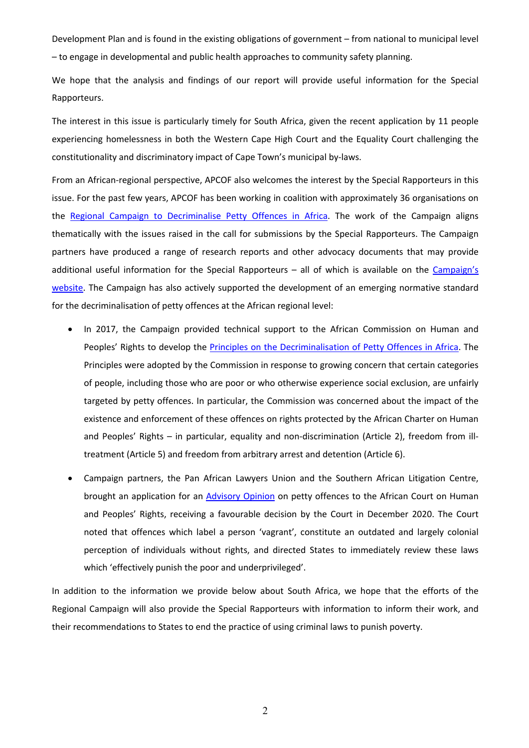Development Plan and is found in the existing obligations of government – from national to municipal level – to engage in developmental and public health approaches to community safety planning.

We hope that the analysis and findings of our report will provide useful information for the Special Rapporteurs.

The interest in this issue is particularly timely for South Africa, given the recent application by 11 people experiencing homelessness in both the Western Cape High Court and the Equality Court challenging the constitutionality and discriminatory impact of Cape Town's municipal by-laws.

From an African-regional perspective, APCOF also welcomes the interest by the Special Rapporteurs in this issue. For the past few years, APCOF has been working in coalition with approximately 36 organisations on the Regional Campaign to Decriminalise Petty Offences in Africa. The work of the Campaign aligns thematically with the issues raised in the call for submissions by the Special Rapporteurs. The Campaign partners have produced a range of research reports and other advocacy documents that may provide additional useful information for the Special Rapporteurs - all of which is available on the Campaign's website. The Campaign has also actively supported the development of an emerging normative standard for the decriminalisation of petty offences at the African regional level:

- In 2017, the Campaign provided technical support to the African Commission on Human and Peoples' Rights to develop the Principles on the Decriminalisation of Petty Offences in Africa. The Principles were adopted by the Commission in response to growing concern that certain categories of people, including those who are poor or who otherwise experience social exclusion, are unfairly targeted by petty offences. In particular, the Commission was concerned about the impact of the existence and enforcement of these offences on rights protected by the African Charter on Human and Peoples' Rights – in particular, equality and non-discrimination (Article 2), freedom from illtreatment (Article 5) and freedom from arbitrary arrest and detention (Article 6).
- Campaign partners, the Pan African Lawyers Union and the Southern African Litigation Centre, brought an application for an Advisory Opinion on petty offences to the African Court on Human and Peoples' Rights, receiving a favourable decision by the Court in December 2020. The Court noted that offences which label a person 'vagrant', constitute an outdated and largely colonial perception of individuals without rights, and directed States to immediately review these laws which 'effectively punish the poor and underprivileged'.

In addition to the information we provide below about South Africa, we hope that the efforts of the Regional Campaign will also provide the Special Rapporteurs with information to inform their work, and their recommendations to States to end the practice of using criminal laws to punish poverty.

2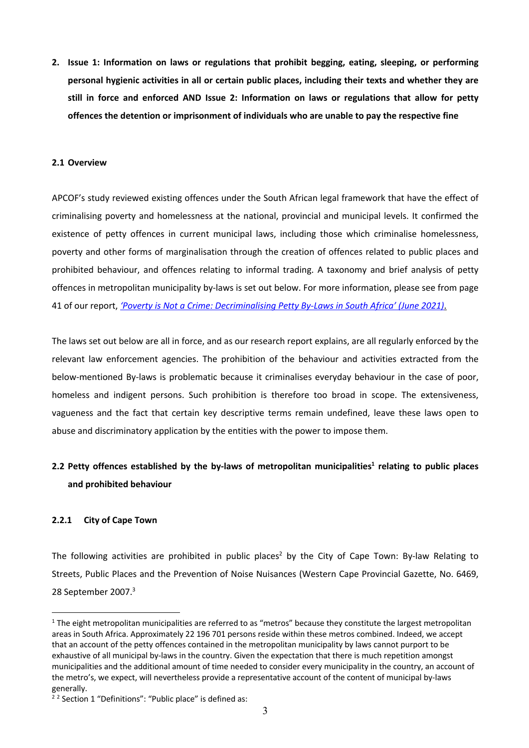**2. Issue 1: Information on laws or regulations that prohibit begging, eating, sleeping, or performing personal hygienic activities in all or certain public places, including their texts and whether they are still in force and enforced AND Issue 2: Information on laws or regulations that allow for petty offences the detention or imprisonment of individuals who are unable to pay the respective fine**

#### **2.1 Overview**

APCOF's study reviewed existing offences under the South African legal framework that have the effect of criminalising poverty and homelessness at the national, provincial and municipal levels. It confirmed the existence of petty offences in current municipal laws, including those which criminalise homelessness, poverty and other forms of marginalisation through the creation of offences related to public places and prohibited behaviour, and offences relating to informal trading. A taxonomy and brief analysis of petty offences in metropolitan municipality by-laws is set out below. For more information, please see from page 41 of our report, *'Poverty is Not a Crime: Decriminalising Petty By-Laws in South Africa' (June 2021)*.

The laws set out below are all in force, and as our research report explains, are all regularly enforced by the relevant law enforcement agencies. The prohibition of the behaviour and activities extracted from the below-mentioned By-laws is problematic because it criminalises everyday behaviour in the case of poor, homeless and indigent persons. Such prohibition is therefore too broad in scope. The extensiveness, vagueness and the fact that certain key descriptive terms remain undefined, leave these laws open to abuse and discriminatory application by the entities with the power to impose them.

# **2.2** Petty offences established by the by-laws of metropolitan municipalities<sup>1</sup> relating to public places **and prohibited behaviour**

#### **2.2.1 City of Cape Town**

The following activities are prohibited in public places<sup>2</sup> by the City of Cape Town: By-law Relating to Streets, Public Places and the Prevention of Noise Nuisances (Western Cape Provincial Gazette, No. 6469, 28 September 2007. 3

 $1$  The eight metropolitan municipalities are referred to as "metros" because they constitute the largest metropolitan areas in South Africa. Approximately 22 196 701 persons reside within these metros combined. Indeed, we accept that an account of the petty offences contained in the metropolitan municipality by laws cannot purport to be exhaustive of all municipal by-laws in the country. Given the expectation that there is much repetition amongst municipalities and the additional amount of time needed to consider every municipality in the country, an account of the metro's, we expect, will nevertheless provide a representative account of the content of municipal by-laws generally.

<sup>&</sup>lt;sup>2</sup> 2 Section 1 "Definitions": "Public place" is defined as: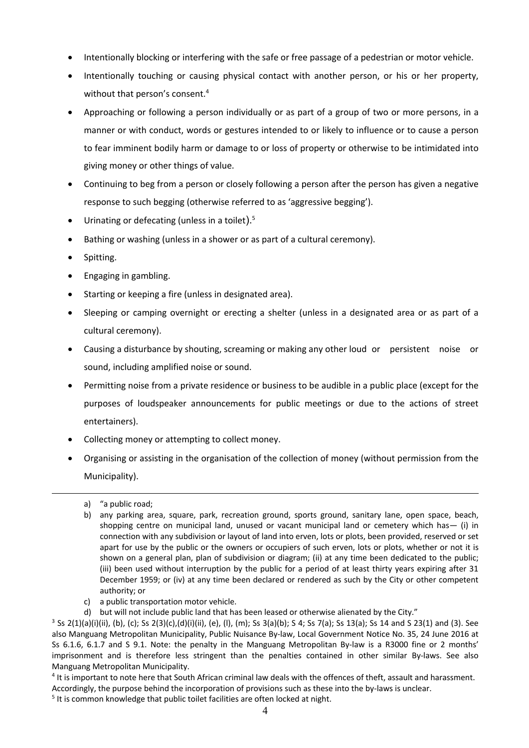- Intentionally blocking or interfering with the safe or free passage of a pedestrian or motor vehicle.
- Intentionally touching or causing physical contact with another person, or his or her property, without that person's consent.<sup>4</sup>
- Approaching or following a person individually or as part of a group of two or more persons, in a manner or with conduct, words or gestures intended to or likely to influence or to cause a person to fear imminent bodily harm or damage to or loss of property or otherwise to be intimidated into giving money or other things of value.
- Continuing to beg from a person or closely following a person after the person has given a negative response to such begging (otherwise referred to as 'aggressive begging').
- $\bullet$  Urinating or defecating (unless in a toilet).<sup>5</sup>
- Bathing or washing (unless in a shower or as part of a cultural ceremony).
- Spitting.
- Engaging in gambling.
- Starting or keeping a fire (unless in designated area).
- Sleeping or camping overnight or erecting a shelter (unless in a designated area or as part of a cultural ceremony).
- Causing a disturbance by shouting, screaming or making any other loud or persistent noise or sound, including amplified noise or sound.
- Permitting noise from a private residence or business to be audible in a public place (except for the purposes of loudspeaker announcements for public meetings or due to the actions of street entertainers).
- Collecting money or attempting to collect money.
- Organising or assisting in the organisation of the collection of money (without permission from the Municipality).
	- a) "a public road;
	- b) any parking area, square, park, recreation ground, sports ground, sanitary lane, open space, beach, shopping centre on municipal land, unused or vacant municipal land or cemetery which has— (i) in connection with any subdivision or layout of land into erven, lots or plots, been provided, reserved or set apart for use by the public or the owners or occupiers of such erven, lots or plots, whether or not it is shown on a general plan, plan of subdivision or diagram; (ii) at any time been dedicated to the public; (iii) been used without interruption by the public for a period of at least thirty years expiring after 31 December 1959; or (iv) at any time been declared or rendered as such by the City or other competent authority; or
	- c) a public transportation motor vehicle.
	-

- <sup>4</sup> It is important to note here that South African criminal law deals with the offences of theft, assault and harassment.
- Accordingly, the purpose behind the incorporation of provisions such as these into the by-laws is unclear.
- <sup>5</sup> It is common knowledge that public toilet facilities are often locked at night.

d) but will not include public land that has been leased or otherwise alienated by the City."<br><sup>3</sup> Ss 2(1)(a)(i)(ii), (b), (c); Ss 2(3)(c),(d)(i)(ii), (e), (l), (m); Ss 3(a)(b); S 4; Ss 7(a); Ss 13(a); Ss 14 and S 23(1) an also Manguang Metropolitan Municipality, Public Nuisance By-law, Local Government Notice No. 35, 24 June 2016 at Ss 6.1.6, 6.1.7 and S 9.1. Note: the penalty in the Manguang Metropolitan By-law is a R3000 fine or 2 months' imprisonment and is therefore less stringent than the penalties contained in other similar By-laws. See also Manguang Metropolitan Municipality.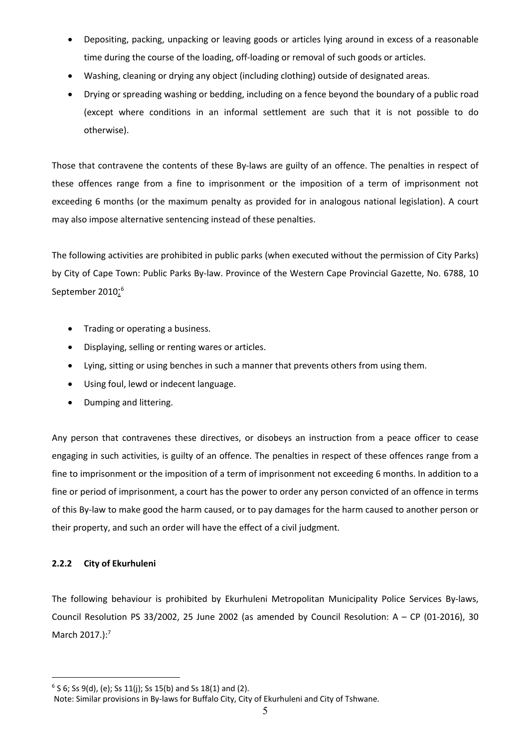- Depositing, packing, unpacking or leaving goods or articles lying around in excess of a reasonable time during the course of the loading, off-loading or removal of such goods or articles.
- Washing, cleaning or drying any object (including clothing) outside of designated areas.
- Drying or spreading washing or bedding, including on a fence beyond the boundary of a public road (except where conditions in an informal settlement are such that it is not possible to do otherwise).

Those that contravene the contents of these By-laws are guilty of an offence. The penalties in respect of these offences range from a fine to imprisonment or the imposition of a term of imprisonment not exceeding 6 months (or the maximum penalty as provided for in analogous national legislation). A court may also impose alternative sentencing instead of these penalties.

The following activities are prohibited in public parks (when executed without the permission of City Parks) by City of Cape Town: Public Parks By-law. Province of the Western Cape Provincial Gazette, No. 6788, 10 September 2010:<sup>6</sup>

- Trading or operating a business.
- Displaying, selling or renting wares or articles.
- Lying, sitting or using benches in such a manner that prevents others from using them.
- Using foul, lewd or indecent language.
- Dumping and littering.

Any person that contravenes these directives, or disobeys an instruction from a peace officer to cease engaging in such activities, is guilty of an offence. The penalties in respect of these offences range from a fine to imprisonment or the imposition of a term of imprisonment not exceeding 6 months. In addition to a fine or period of imprisonment, a court has the power to order any person convicted of an offence in terms of this By-law to make good the harm caused, or to pay damages for the harm caused to another person or their property, and such an order will have the effect of a civil judgment.

### **2.2.2 City of Ekurhuleni**

The following behaviour is prohibited by Ekurhuleni Metropolitan Municipality Police Services By-laws, Council Resolution PS 33/2002, 25 June 2002 (as amended by Council Resolution:  $A - CP$  (01-2016), 30 March 2017.):<sup>7</sup>

 $6$  S 6; Ss 9(d), (e); Ss 11(j); Ss 15(b) and Ss 18(1) and (2).

Note: Similar provisions in By-laws for Buffalo City, City of Ekurhuleni and City of Tshwane.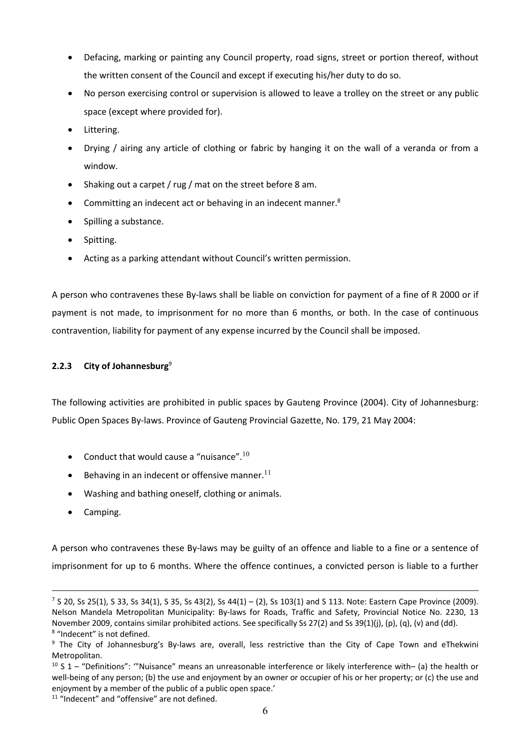- Defacing, marking or painting any Council property, road signs, street or portion thereof, without the written consent of the Council and except if executing his/her duty to do so.
- No person exercising control or supervision is allowed to leave a trolley on the street or any public space (except where provided for).
- Littering.
- Drying / airing any article of clothing or fabric by hanging it on the wall of a veranda or from a window.
- Shaking out a carpet / rug / mat on the street before 8 am.
- Committing an indecent act or behaving in an indecent manner.8
- Spilling a substance.
- Spitting.
- Acting as a parking attendant without Council's written permission.

A person who contravenes these By-laws shall be liable on conviction for payment of a fine of R 2000 or if payment is not made, to imprisonment for no more than 6 months, or both. In the case of continuous contravention, liability for payment of any expense incurred by the Council shall be imposed.

### **2.2.3 City of Johannesburg**<sup>9</sup>

The following activities are prohibited in public spaces by Gauteng Province (2004). City of Johannesburg: Public Open Spaces By-laws. Province of Gauteng Provincial Gazette, No. 179, 21 May 2004:

- Conduct that would cause a "nuisance". $^{10}$
- $\bullet$  Behaving in an indecent or offensive manner.<sup>11</sup>
- Washing and bathing oneself, clothing or animals.
- Camping.

A person who contravenes these By-laws may be guilty of an offence and liable to a fine or a sentence of imprisonment for up to 6 months. Where the offence continues, a convicted person is liable to a further

 $7$  S 20, Ss 25(1), S 33, Ss 34(1), S 35, Ss 43(2), Ss 44(1) – (2), Ss 103(1) and S 113. Note: Eastern Cape Province (2009). Nelson Mandela Metropolitan Municipality: By-laws for Roads, Traffic and Safety, Provincial Notice No. 2230, 13 November 2009, contains similar prohibited actions. See specifically Ss 27(2) and Ss 39(1)(j), (p), (q), (v) and (dd). 8 "Indecent" is not defined.

<sup>&</sup>lt;sup>9</sup> The City of Johannesburg's By-laws are, overall, less restrictive than the City of Cape Town and eThekwini Metropolitan.

 $10$  S 1 – "Definitions": "Nuisance" means an unreasonable interference or likely interference with– (a) the health or well-being of any person; (b) the use and enjoyment by an owner or occupier of his or her property; or (c) the use and enjoyment by a member of the public of a public open space.'

<sup>&</sup>lt;sup>11</sup> "Indecent" and "offensive" are not defined.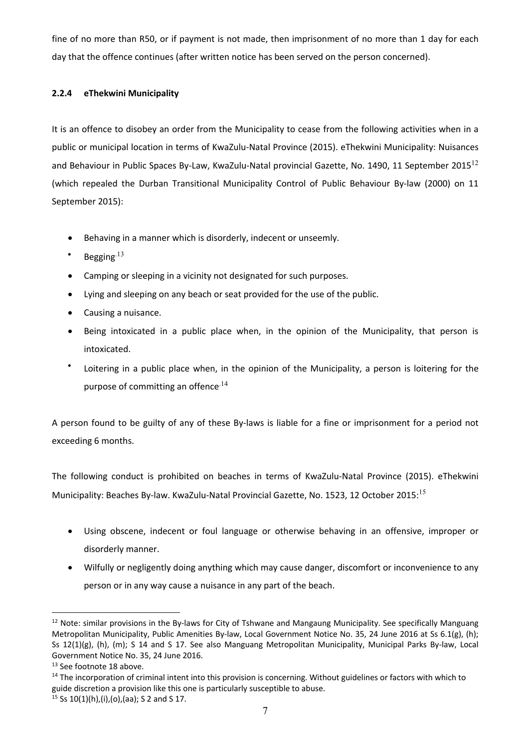fine of no more than R50, or if payment is not made, then imprisonment of no more than 1 day for each day that the offence continues (after written notice has been served on the person concerned).

### **2.2.4 eThekwini Municipality**

It is an offence to disobey an order from the Municipality to cease from the following activities when in a public or municipal location in terms of KwaZulu-Natal Province (2015). eThekwini Municipality: Nuisances and Behaviour in Public Spaces By-Law, KwaZulu-Natal provincial Gazette, No. 1490, 11 September 2015<sup>12</sup> (which repealed the Durban Transitional Municipality Control of Public Behaviour By-law (2000) on 11 September 2015):

- Behaving in a manner which is disorderly, indecent or unseemly.
- Begging $13$
- Camping or sleeping in a vicinity not designated for such purposes.
- Lying and sleeping on any beach or seat provided for the use of the public.
- Causing a nuisance.
- Being intoxicated in a public place when, in the opinion of the Municipality, that person is intoxicated.
- Loitering in a public place when, in the opinion of the Municipality, a person is loitering for the purpose of committing an offence<sup>14</sup>

A person found to be guilty of any of these By-laws is liable for a fine or imprisonment for a period not exceeding 6 months.

The following conduct is prohibited on beaches in terms of KwaZulu-Natal Province (2015). eThekwini Municipality: Beaches By-law. KwaZulu-Natal Provincial Gazette, No. 1523, 12 October 2015:<sup>15</sup>

- Using obscene, indecent or foul language or otherwise behaving in an offensive, improper or disorderly manner.
- Wilfully or negligently doing anything which may cause danger, discomfort or inconvenience to any person or in any way cause a nuisance in any part of the beach.

<sup>&</sup>lt;sup>12</sup> Note: similar provisions in the By-laws for City of Tshwane and Mangaung Municipality. See specifically Manguang Metropolitan Municipality, Public Amenities By-law, Local Government Notice No. 35, 24 June 2016 at Ss 6.1(g), (h); Ss 12(1)(g), (h), (m); S 14 and S 17. See also Manguang Metropolitan Municipality, Municipal Parks By-law, Local Government Notice No. 35, 24 June 2016.<br><sup>13</sup> See footnote 18 above.<br><sup>14</sup> The incorporation of criminal intent into this provision is concerning. Without guidelines or factors with which to

guide discretion a provision like this one is particularly susceptible to abuse.  $^{15}$  Ss 10(1)(h),(i),(o),(aa); S 2 and S 17.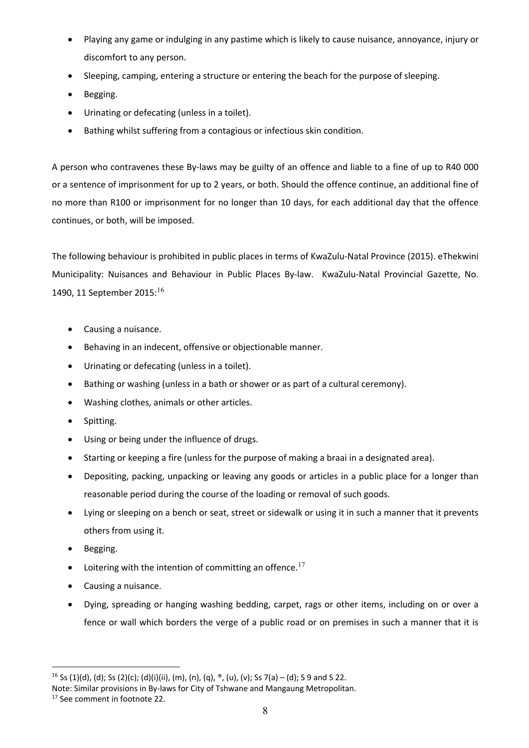- Playing any game or indulging in any pastime which is likely to cause nuisance, annoyance, injury or discomfort to any person.
- Sleeping, camping, entering a structure or entering the beach for the purpose of sleeping.
- Begging.
- Urinating or defecating (unless in a toilet).
- Bathing whilst suffering from a contagious or infectious skin condition.

A person who contravenes these By-laws may be guilty of an offence and liable to a fine of up to R40 000 or a sentence of imprisonment for up to 2 years, or both. Should the offence continue, an additional fine of no more than R100 or imprisonment for no longer than 10 days, for each additional day that the offence continues, or both, will be imposed.

The following behaviour is prohibited in public places in terms of KwaZulu-Natal Province (2015). eThekwini Municipality: Nuisances and Behaviour in Public Places By-law. KwaZulu-Natal Provincial Gazette, No. 1490, 11 September 2015:<sup>16</sup>

- Causing a nuisance.
- Behaving in an indecent, offensive or objectionable manner.
- Urinating or defecating (unless in a toilet).
- Bathing or washing (unless in a bath or shower or as part of a cultural ceremony).
- Washing clothes, animals or other articles.
- Spitting.
- Using or being under the influence of drugs.
- Starting or keeping a fire (unless for the purpose of making a braai in a designated area).
- Depositing, packing, unpacking or leaving any goods or articles in a public place for a longer than reasonable period during the course of the loading or removal of such goods.
- Lying or sleeping on a bench or seat, street or sidewalk or using it in such a manner that it prevents others from using it.
- Begging.
- Loitering with the intention of committing an offence.<sup>17</sup>
- Causing a nuisance.
- Dying, spreading or hanging washing bedding, carpet, rags or other items, including on or over a fence or wall which borders the verge of a public road or on premises in such a manner that it is

<sup>&</sup>lt;sup>16</sup> Ss (1)(d), (d); Ss (2)(c); (d)(i)(ii), (m), (n), (q),  $\degree$ , (u), (v); Ss 7(a) – (d); S 9 and S 22.

Note: Similar provisions in By-laws for City of Tshwane and Mangaung Metropolitan.

<sup>17</sup> See comment in footnote 22.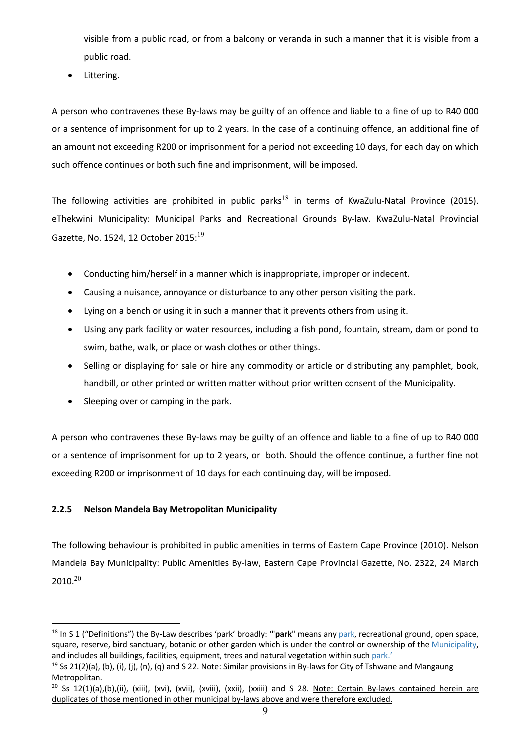visible from a public road, or from a balcony or veranda in such a manner that it is visible from a public road.

• Littering.

A person who contravenes these By-laws may be guilty of an offence and liable to a fine of up to R40 000 or a sentence of imprisonment for up to 2 years. In the case of a continuing offence, an additional fine of an amount not exceeding R200 or imprisonment for a period not exceeding 10 days, for each day on which such offence continues or both such fine and imprisonment, will be imposed.

The following activities are prohibited in public parks<sup>18</sup> in terms of KwaZulu-Natal Province (2015). eThekwini Municipality: Municipal Parks and Recreational Grounds By-law. KwaZulu-Natal Provincial Gazette, No. 1524, 12 October 2015: $19$ 

- Conducting him/herself in a manner which is inappropriate, improper or indecent.
- Causing a nuisance, annoyance or disturbance to any other person visiting the park.
- Lying on a bench or using it in such a manner that it prevents others from using it.
- Using any park facility or water resources, including a fish pond, fountain, stream, dam or pond to swim, bathe, walk, or place or wash clothes or other things.
- Selling or displaying for sale or hire any commodity or article or distributing any pamphlet, book, handbill, or other printed or written matter without prior written consent of the Municipality.
- Sleeping over or camping in the park.

A person who contravenes these By-laws may be guilty of an offence and liable to a fine of up to R40 000 or a sentence of imprisonment for up to 2 years, or both. Should the offence continue, a further fine not exceeding R200 or imprisonment of 10 days for each continuing day, will be imposed.

## **2.2.5 Nelson Mandela Bay Metropolitan Municipality**

The following behaviour is prohibited in public amenities in terms of Eastern Cape Province (2010). Nelson Mandela Bay Municipality: Public Amenities By-law, Eastern Cape Provincial Gazette, No. 2322, 24 March  $2010.<sup>20</sup>$ 

<sup>18</sup> In S 1 ("Definitions") the By-Law describes 'park' broadly: '"**park**" means any park, recreational ground, open space, square, reserve, bird sanctuary, botanic or other garden which is under the control or ownership of the Municipality, and includes all buildings, facilities, equipment, trees and natural vegetation within such park.'

<sup>&</sup>lt;sup>19</sup> Ss 21(2)(a), (b), (i), (i), (n), (q) and S 22. Note: Similar provisions in By-laws for City of Tshwane and Mangaung Metropolitan.

<sup>&</sup>lt;sup>20</sup> Ss 12(1)(a),(b),(ii), (xiii), (xvi), (xvii), (xviii), (xxii), (xxiii) and S 28. Note: Certain By-laws contained herein are duplicates of those mentioned in other municipal by-laws above and were therefore excluded.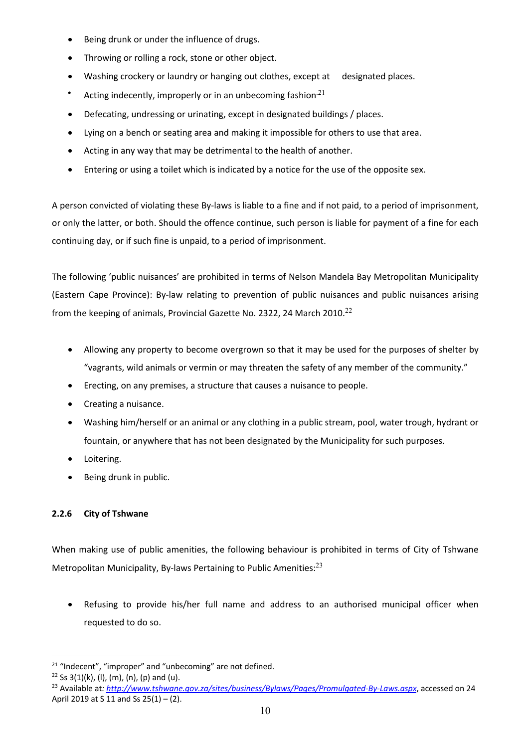- Being drunk or under the influence of drugs.
- Throwing or rolling a rock, stone or other object.
- Washing crockery or laundry or hanging out clothes, except at designated places.
- Acting indecently, improperly or in an unbecoming fashion $^{21}$
- Defecating, undressing or urinating, except in designated buildings / places.
- Lying on a bench or seating area and making it impossible for others to use that area.
- Acting in any way that may be detrimental to the health of another.
- Entering or using a toilet which is indicated by a notice for the use of the opposite sex.

A person convicted of violating these By-laws is liable to a fine and if not paid, to a period of imprisonment, or only the latter, or both. Should the offence continue, such person is liable for payment of a fine for each continuing day, or if such fine is unpaid, to a period of imprisonment.

The following 'public nuisances' are prohibited in terms of Nelson Mandela Bay Metropolitan Municipality (Eastern Cape Province): By-law relating to prevention of public nuisances and public nuisances arising from the keeping of animals, Provincial Gazette No. 2322, 24 March 2010.<sup>22</sup>

- Allowing any property to become overgrown so that it may be used for the purposes of shelter by "vagrants, wild animals or vermin or may threaten the safety of any member of the community."
- Erecting, on any premises, a structure that causes a nuisance to people.
- Creating a nuisance.
- Washing him/herself or an animal or any clothing in a public stream, pool, water trough, hydrant or fountain, or anywhere that has not been designated by the Municipality for such purposes.
- Loitering.
- Being drunk in public.

### **2.2.6 City of Tshwane**

When making use of public amenities, the following behaviour is prohibited in terms of City of Tshwane Metropolitan Municipality, By-laws Pertaining to Public Amenities: $^{23}$ 

• Refusing to provide his/her full name and address to an authorised municipal officer when requested to do so.

<sup>&</sup>lt;sup>21</sup> "Indecent", "improper" and "unbecoming" are not defined.<br><sup>22</sup> Ss 3(1)(k), (l), (m), (n), (p) and (u).<br><sup>23</sup> Available at: <u>http://www.tshwane.gov.za/sites/business/Bylaws/Pages/Promulgated-By-Laws.aspx</u>, accessed on 24 April 2019 at S 11 and Ss 25(1) – (2).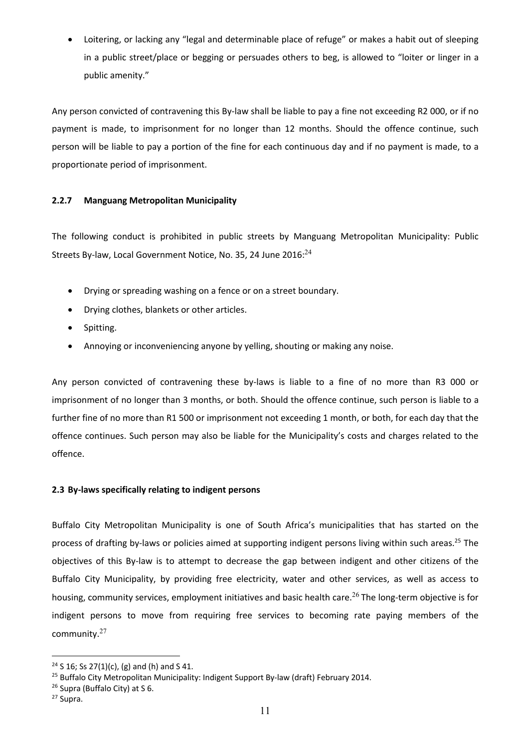Loitering, or lacking any "legal and determinable place of refuge" or makes a habit out of sleeping in a public street/place or begging or persuades others to beg, is allowed to "loiter or linger in a public amenity."

Any person convicted of contravening this By-law shall be liable to pay a fine not exceeding R2 000, or if no payment is made, to imprisonment for no longer than 12 months. Should the offence continue, such person will be liable to pay a portion of the fine for each continuous day and if no payment is made, to a proportionate period of imprisonment.

### **2.2.7 Manguang Metropolitan Municipality**

The following conduct is prohibited in public streets by Manguang Metropolitan Municipality: Public Streets By-law, Local Government Notice, No. 35, 24 June 2016:<sup>24</sup>

- Drying or spreading washing on a fence or on a street boundary.
- Drying clothes, blankets or other articles.
- Spitting.
- Annoying or inconveniencing anyone by yelling, shouting or making any noise.

Any person convicted of contravening these by-laws is liable to a fine of no more than R3 000 or imprisonment of no longer than 3 months, or both. Should the offence continue, such person is liable to a further fine of no more than R1 500 or imprisonment not exceeding 1 month, or both, for each day that the offence continues. Such person may also be liable for the Municipality's costs and charges related to the offence.

#### **2.3 By-laws specifically relating to indigent persons**

Buffalo City Metropolitan Municipality is one of South Africa's municipalities that has started on the process of drafting by-laws or policies aimed at supporting indigent persons living within such areas.25 The objectives of this By-law is to attempt to decrease the gap between indigent and other citizens of the Buffalo City Municipality, by providing free electricity, water and other services, as well as access to housing, community services, employment initiatives and basic health care.<sup>26</sup> The long-term objective is for indigent persons to move from requiring free services to becoming rate paying members of the community. 27

 $24$  S 16; Ss 27(1)(c), (g) and (h) and S 41.

<sup>&</sup>lt;sup>25</sup> Buffalo City Metropolitan Municipality: Indigent Support By-law (draft) February 2014.

 $26$  Supra (Buffalo City) at S 6.<br> $27$  Supra.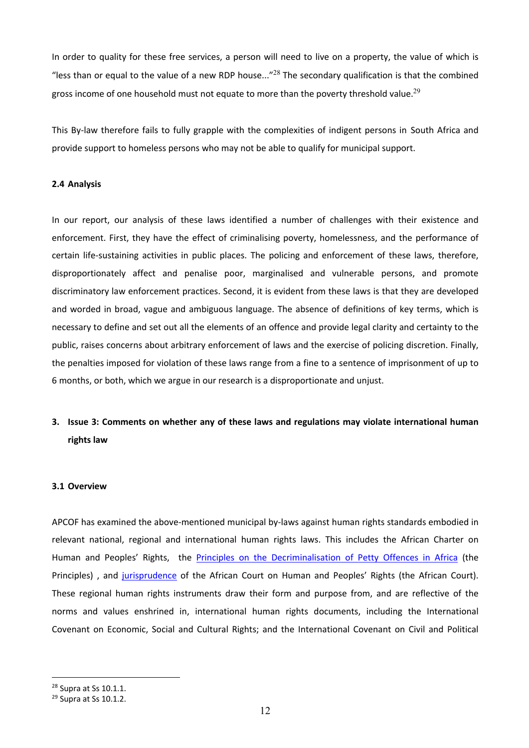In order to quality for these free services, a person will need to live on a property, the value of which is "less than or equal to the value of a new RDP house..."<sup>28</sup> The secondary qualification is that the combined gross income of one household must not equate to more than the poverty threshold value.<sup>29</sup>

This By-law therefore fails to fully grapple with the complexities of indigent persons in South Africa and provide support to homeless persons who may not be able to qualify for municipal support.

#### **2.4 Analysis**

In our report, our analysis of these laws identified a number of challenges with their existence and enforcement. First, they have the effect of criminalising poverty, homelessness, and the performance of certain life-sustaining activities in public places. The policing and enforcement of these laws, therefore, disproportionately affect and penalise poor, marginalised and vulnerable persons, and promote discriminatory law enforcement practices. Second, it is evident from these laws is that they are developed and worded in broad, vague and ambiguous language. The absence of definitions of key terms, which is necessary to define and set out all the elements of an offence and provide legal clarity and certainty to the public, raises concerns about arbitrary enforcement of laws and the exercise of policing discretion. Finally, the penalties imposed for violation of these laws range from a fine to a sentence of imprisonment of up to 6 months, or both, which we argue in our research is a disproportionate and unjust.

# **3. Issue 3: Comments on whether any of these laws and regulations may violate international human rights law**

#### **3.1 Overview**

APCOF has examined the above-mentioned municipal by-laws against human rights standards embodied in relevant national, regional and international human rights laws. This includes the African Charter on Human and Peoples' Rights, the Principles on the Decriminalisation of Petty Offences in Africa (the Principles) , and jurisprudence of the African Court on Human and Peoples' Rights (the African Court). These regional human rights instruments draw their form and purpose from, and are reflective of the norms and values enshrined in, international human rights documents, including the International Covenant on Economic, Social and Cultural Rights; and the International Covenant on Civil and Political

<sup>&</sup>lt;sup>28</sup> Supra at Ss 10.1.1.<br><sup>29</sup> Supra at Ss 10.1.2.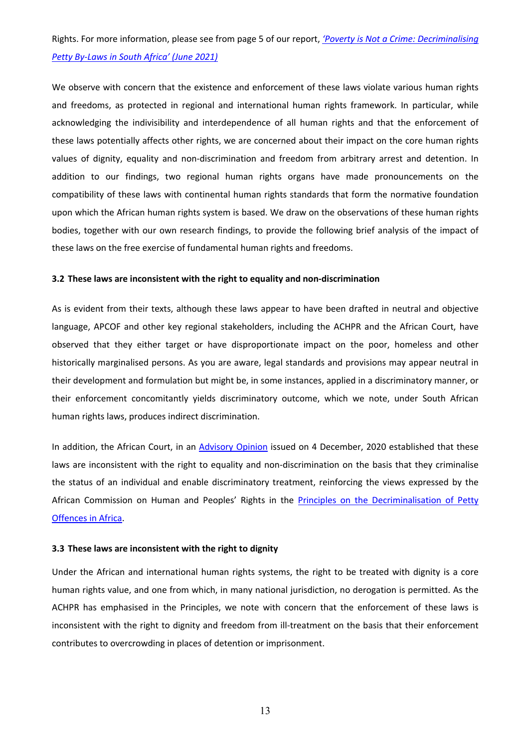# Rights. For more information, please see from page 5 of our report, *'Poverty is Not a Crime: Decriminalising Petty By-Laws in South Africa' (June 2021)*

We observe with concern that the existence and enforcement of these laws violate various human rights and freedoms, as protected in regional and international human rights framework. In particular, while acknowledging the indivisibility and interdependence of all human rights and that the enforcement of these laws potentially affects other rights, we are concerned about their impact on the core human rights values of dignity, equality and non-discrimination and freedom from arbitrary arrest and detention. In addition to our findings, two regional human rights organs have made pronouncements on the compatibility of these laws with continental human rights standards that form the normative foundation upon which the African human rights system is based. We draw on the observations of these human rights bodies, together with our own research findings, to provide the following brief analysis of the impact of these laws on the free exercise of fundamental human rights and freedoms.

#### **3.2 These laws are inconsistent with the right to equality and non-discrimination**

As is evident from their texts, although these laws appear to have been drafted in neutral and objective language, APCOF and other key regional stakeholders, including the ACHPR and the African Court, have observed that they either target or have disproportionate impact on the poor, homeless and other historically marginalised persons. As you are aware, legal standards and provisions may appear neutral in their development and formulation but might be, in some instances, applied in a discriminatory manner, or their enforcement concomitantly yields discriminatory outcome, which we note, under South African human rights laws, produces indirect discrimination.

In addition, the African Court, in an Advisory Opinion issued on 4 December, 2020 established that these laws are inconsistent with the right to equality and non-discrimination on the basis that they criminalise the status of an individual and enable discriminatory treatment, reinforcing the views expressed by the African Commission on Human and Peoples' Rights in the Principles on the Decriminalisation of Petty Offences in Africa.

#### **3.3 These laws are inconsistent with the right to dignity**

Under the African and international human rights systems, the right to be treated with dignity is a core human rights value, and one from which, in many national jurisdiction, no derogation is permitted. As the ACHPR has emphasised in the Principles, we note with concern that the enforcement of these laws is inconsistent with the right to dignity and freedom from ill-treatment on the basis that their enforcement contributes to overcrowding in places of detention or imprisonment.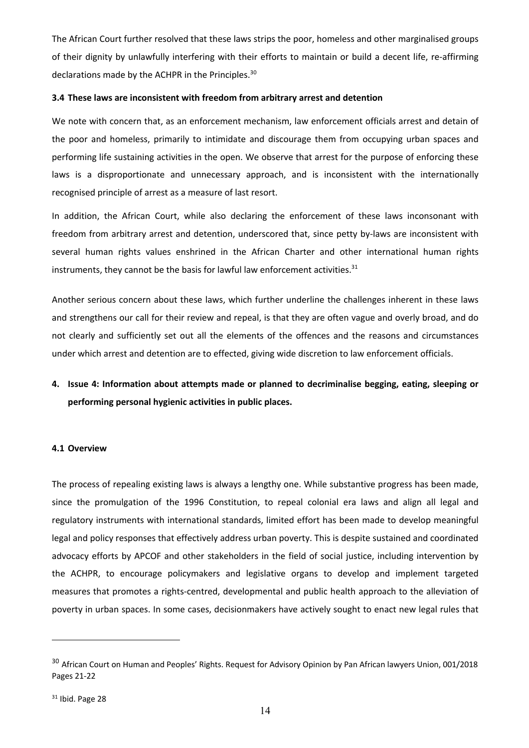The African Court further resolved that these laws strips the poor, homeless and other marginalised groups of their dignity by unlawfully interfering with their efforts to maintain or build a decent life, re-affirming declarations made by the ACHPR in the Principles.<sup>30</sup>

#### **3.4 These laws are inconsistent with freedom from arbitrary arrest and detention**

We note with concern that, as an enforcement mechanism, law enforcement officials arrest and detain of the poor and homeless, primarily to intimidate and discourage them from occupying urban spaces and performing life sustaining activities in the open. We observe that arrest for the purpose of enforcing these laws is a disproportionate and unnecessary approach, and is inconsistent with the internationally recognised principle of arrest as a measure of last resort.

In addition, the African Court, while also declaring the enforcement of these laws inconsonant with freedom from arbitrary arrest and detention, underscored that, since petty by-laws are inconsistent with several human rights values enshrined in the African Charter and other international human rights instruments, they cannot be the basis for lawful law enforcement activities. $31$ 

Another serious concern about these laws, which further underline the challenges inherent in these laws and strengthens our call for their review and repeal, is that they are often vague and overly broad, and do not clearly and sufficiently set out all the elements of the offences and the reasons and circumstances under which arrest and detention are to effected, giving wide discretion to law enforcement officials.

# **4. Issue 4: Information about attempts made or planned to decriminalise begging, eating, sleeping or performing personal hygienic activities in public places.**

#### **4.1 Overview**

The process of repealing existing laws is always a lengthy one. While substantive progress has been made, since the promulgation of the 1996 Constitution, to repeal colonial era laws and align all legal and regulatory instruments with international standards, limited effort has been made to develop meaningful legal and policy responses that effectively address urban poverty. This is despite sustained and coordinated advocacy efforts by APCOF and other stakeholders in the field of social justice, including intervention by the ACHPR, to encourage policymakers and legislative organs to develop and implement targeted measures that promotes a rights-centred, developmental and public health approach to the alleviation of poverty in urban spaces. In some cases, decisionmakers have actively sought to enact new legal rules that

<sup>&</sup>lt;sup>30</sup> African Court on Human and Peoples' Rights. Request for Advisory Opinion by Pan African lawyers Union, 001/2018 Pages 21-22

<sup>31</sup> Ibid. Page 28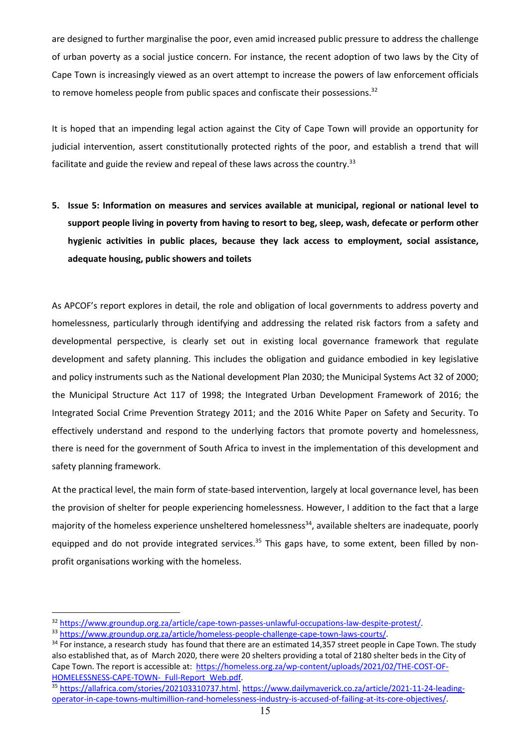are designed to further marginalise the poor, even amid increased public pressure to address the challenge of urban poverty as a social justice concern. For instance, the recent adoption of two laws by the City of Cape Town is increasingly viewed as an overt attempt to increase the powers of law enforcement officials to remove homeless people from public spaces and confiscate their possessions.<sup>32</sup>

It is hoped that an impending legal action against the City of Cape Town will provide an opportunity for judicial intervention, assert constitutionally protected rights of the poor, and establish a trend that will facilitate and guide the review and repeal of these laws across the country.<sup>33</sup>

**5. Issue 5: Information on measures and services available at municipal, regional or national level to support people living in poverty from having to resort to beg, sleep, wash, defecate or perform other hygienic activities in public places, because they lack access to employment, social assistance, adequate housing, public showers and toilets**

As APCOF's report explores in detail, the role and obligation of local governments to address poverty and homelessness, particularly through identifying and addressing the related risk factors from a safety and developmental perspective, is clearly set out in existing local governance framework that regulate development and safety planning. This includes the obligation and guidance embodied in key legislative and policy instruments such as the National development Plan 2030; the Municipal Systems Act 32 of 2000; the Municipal Structure Act 117 of 1998; the Integrated Urban Development Framework of 2016; the Integrated Social Crime Prevention Strategy 2011; and the 2016 White Paper on Safety and Security. To effectively understand and respond to the underlying factors that promote poverty and homelessness, there is need for the government of South Africa to invest in the implementation of this development and safety planning framework.

At the practical level, the main form of state-based intervention, largely at local governance level, has been the provision of shelter for people experiencing homelessness. However, I addition to the fact that a large majority of the homeless experience unsheltered homelessness<sup>34</sup>, available shelters are inadequate, poorly equipped and do not provide integrated services.<sup>35</sup> This gaps have, to some extent, been filled by nonprofit organisations working with the homeless.

<sup>&</sup>lt;sup>32</sup> https://www.groundup.org.za/article/cape-town-passes-unlawful-occupations-law-despite-protest/.<br><sup>33</sup> https://www.groundup.org.za/article/homeless-people-challenge-cape-town-laws-courts/.<br><sup>34</sup> For instance, a research also established that, as of March 2020, there were 20 shelters providing a total of 2180 shelter beds in the City of Cape Town. The report is accessible at: https://homeless.org.za/wp-content/uploads/2021/02/THE-COST-OF-HOMELESSNESS-CAPE-TOWN- Full-Report Web.pdf.

<sup>35</sup> https://allafrica.com/stories/202103310737.html. https://www.dailymaverick.co.za/article/2021-11-24-leadingoperator-in-cape-towns-multimillion-rand-homelessness-industry-is-accused-of-failing-at-its-core-objectives/.